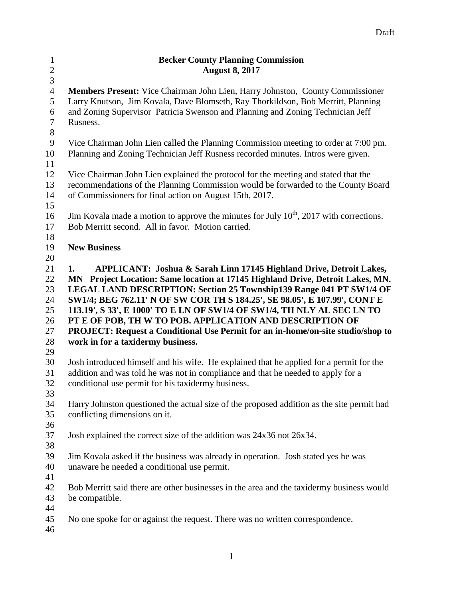| $\mathbf{1}$   | <b>Becker County Planning Commission</b>                                                           |
|----------------|----------------------------------------------------------------------------------------------------|
| $\sqrt{2}$     | <b>August 8, 2017</b>                                                                              |
| $\mathfrak{Z}$ |                                                                                                    |
| $\overline{4}$ | Members Present: Vice Chairman John Lien, Harry Johnston, County Commissioner                      |
| 5              | Larry Knutson, Jim Kovala, Dave Blomseth, Ray Thorkildson, Bob Merritt, Planning                   |
| 6              | and Zoning Supervisor Patricia Swenson and Planning and Zoning Technician Jeff                     |
| $\tau$         | Rusness.                                                                                           |
| $8\,$          |                                                                                                    |
| $\overline{9}$ | Vice Chairman John Lien called the Planning Commission meeting to order at 7:00 pm.                |
| 10             | Planning and Zoning Technician Jeff Rusness recorded minutes. Intros were given.                   |
| 11             |                                                                                                    |
| 12             | Vice Chairman John Lien explained the protocol for the meeting and stated that the                 |
| 13             | recommendations of the Planning Commission would be forwarded to the County Board                  |
| 14             | of Commissioners for final action on August 15th, 2017.                                            |
| 15             |                                                                                                    |
| 16             | Jim Kovala made a motion to approve the minutes for July 10 <sup>th</sup> , 2017 with corrections. |
| 17             | Bob Merritt second. All in favor. Motion carried.                                                  |
| 18             |                                                                                                    |
| 19             | <b>New Business</b>                                                                                |
| 20             |                                                                                                    |
| 21             | <b>APPLICANT: Joshua &amp; Sarah Linn 17145 Highland Drive, Detroit Lakes,</b><br>1.               |
| 22             | MN Project Location: Same location at 17145 Highland Drive, Detroit Lakes, MN.                     |
| 23             | LEGAL LAND DESCRIPTION: Section 25 Township139 Range 041 PT SW1/4 OF                               |
| 24             | SW1/4; BEG 762.11' N OF SW COR TH S 184.25', SE 98.05', E 107.99', CONT E                          |
| 25             | 113.19', S 33', E 1000' TO E LN OF SW1/4 OF SW1/4, TH NLY AL SEC LN TO                             |
| 26             | PT E OF POB, TH W TO POB. APPLICATION AND DESCRIPTION OF                                           |
| 27             | PROJECT: Request a Conditional Use Permit for an in-home/on-site studio/shop to                    |
| 28<br>29       | work in for a taxidermy business.                                                                  |
| 30             | Josh introduced himself and his wife. He explained that he applied for a permit for the            |
| 31             | addition and was told he was not in compliance and that he needed to apply for a                   |
| 32             | conditional use permit for his taxidermy business.                                                 |
| 33             |                                                                                                    |
| 34             | Harry Johnston questioned the actual size of the proposed addition as the site permit had          |
| 35             | conflicting dimensions on it.                                                                      |
| 36             |                                                                                                    |
| 37             | Josh explained the correct size of the addition was 24x36 not 26x34.                               |
| 38             |                                                                                                    |
| 39             | Jim Kovala asked if the business was already in operation. Josh stated yes he was                  |
| 40             | unaware he needed a conditional use permit.                                                        |
| 41             |                                                                                                    |
| 42             | Bob Merritt said there are other businesses in the area and the taxidermy business would           |
| 43             | be compatible.                                                                                     |
| 44             |                                                                                                    |
| 45             | No one spoke for or against the request. There was no written correspondence.                      |
| 46             |                                                                                                    |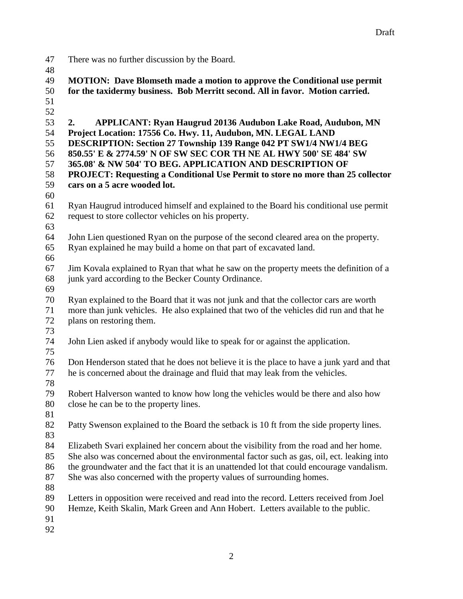- There was no further discussion by the Board.
- 

 **MOTION: Dave Blomseth made a motion to approve the Conditional use permit for the taxidermy business. Bob Merritt second. All in favor. Motion carried. 2. APPLICANT: Ryan Haugrud 20136 Audubon Lake Road, Audubon, MN Project Location: 17556 Co. Hwy. 11, Audubon, MN. LEGAL LAND DESCRIPTION: Section 27 Township 139 Range 042 PT SW1/4 NW1/4 BEG 850.55' E & 2774.59' N OF SW SEC COR TH NE AL HWY 500' SE 484' SW 365.08' & NW 504' TO BEG. APPLICATION AND DESCRIPTION OF PROJECT: Requesting a Conditional Use Permit to store no more than 25 collector cars on a 5 acre wooded lot.** Ryan Haugrud introduced himself and explained to the Board his conditional use permit request to store collector vehicles on his property. John Lien questioned Ryan on the purpose of the second cleared area on the property. Ryan explained he may build a home on that part of excavated land. Jim Kovala explained to Ryan that what he saw on the property meets the definition of a junk yard according to the Becker County Ordinance. Ryan explained to the Board that it was not junk and that the collector cars are worth more than junk vehicles. He also explained that two of the vehicles did run and that he plans on restoring them. John Lien asked if anybody would like to speak for or against the application. Don Henderson stated that he does not believe it is the place to have a junk yard and that he is concerned about the drainage and fluid that may leak from the vehicles. Robert Halverson wanted to know how long the vehicles would be there and also how close he can be to the property lines. Patty Swenson explained to the Board the setback is 10 ft from the side property lines. Elizabeth Svari explained her concern about the visibility from the road and her home. She also was concerned about the environmental factor such as gas, oil, ect. leaking into the groundwater and the fact that it is an unattended lot that could encourage vandalism. She was also concerned with the property values of surrounding homes. Letters in opposition were received and read into the record. Letters received from Joel Hemze, Keith Skalin, Mark Green and Ann Hobert. Letters available to the public.